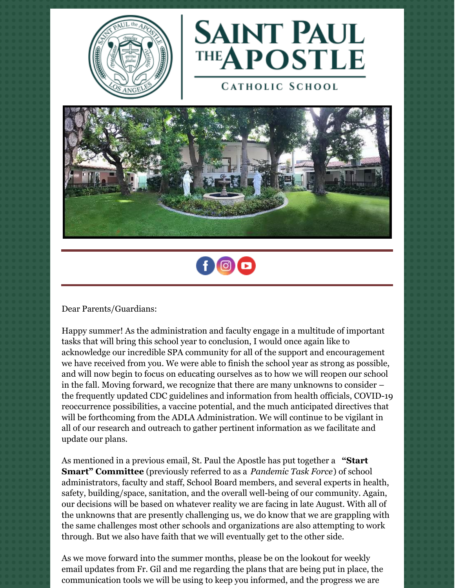



**CATHOLIC SCHOOL** 





Dear Parents/Guardians:

Happy summer! As the administration and faculty engage in a multitude of important tasks that will bring this school year to conclusion, I would once again like to acknowledge our incredible SPA community for all of the support and encouragement we have received from you. We were able to finish the school year as strong as possible, and will now begin to focus on educating ourselves as to how we will reopen our school in the fall. Moving forward, we recognize that there are many unknowns to consider – the frequently updated CDC guidelines and information from health officials, COVID-19 reoccurrence possibilities, a vaccine potential, and the much anticipated directives that will be forthcoming from the ADLA Administration. We will continue to be vigilant in all of our research and outreach to gather pertinent information as we facilitate and update our plans.

As mentioned in a previous email, St. Paul the Apostle has put together a **"Start Smart" Committee** (previously referred to as a *Pandemic Task Force*) of school administrators, faculty and staff, School Board members, and several experts in health, safety, building/space, sanitation, and the overall well-being of our community. Again, our decisions will be based on whatever reality we are facing in late August. With all of the unknowns that are presently challenging us, we do know that we are grappling with the same challenges most other schools and organizations are also attempting to work through. But we also have faith that we will eventually get to the other side.

As we move forward into the summer months, please be on the lookout for weekly email updates from Fr. Gil and me regarding the plans that are being put in place, the communication tools we will be using to keep you informed, and the progress we are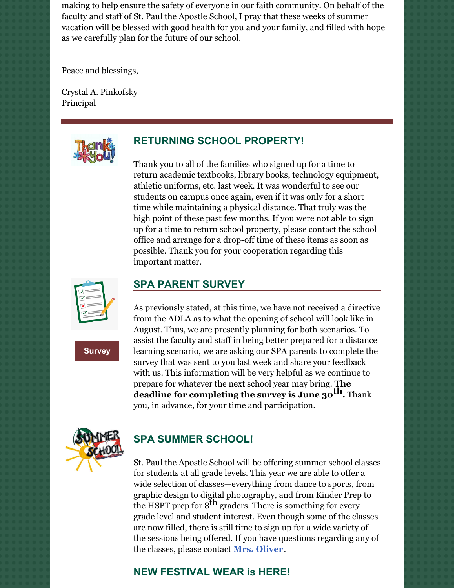making to help ensure the safety of everyone in our faith community. On behalf of the faculty and staff of St. Paul the Apostle School, I pray that these weeks of summer vacation will be blessed with good health for you and your family, and filled with hope as we carefully plan for the future of our school.

Peace and blessings,

Crystal A. Pinkofsky Principal



## **RETURNING SCHOOL PROPERTY!**

Thank you to all of the families who signed up for a time to return academic textbooks, library books, technology equipment, athletic uniforms, etc. last week. It was wonderful to see our students on campus once again, even if it was only for a short time while maintaining a physical distance. That truly was the high point of these past few months. If you were not able to sign up for a time to return school property, please contact the school office and arrange for a drop-off time of these items as soon as possible. Thank you for your cooperation regarding this important matter.



**[Survey](https://docs.google.com/forms/d/e/1FAIpQLSc4knZsX0dCMQkvu36sLw9xEm1A2Y-_OfY_duSIXDcInRZhrw/viewform?vc=0&c=0&w=1)**

## **SPA PARENT SURVEY**

As previously stated, at this time, we have not received a directive from the ADLA as to what the opening of school will look like in August. Thus, we are presently planning for both scenarios. To assist the faculty and staff in being better prepared for a distance learning scenario, we are asking our SPA parents to complete the survey that was sent to you last week and share your feedback with us. This information will be very helpful as we continue to prepare for whatever the next school year may bring. **The deadline for completing the survey is June 30 th.** Thank you, in advance, for your time and participation.



## **SPA SUMMER SCHOOL!**

St. Paul the Apostle School will be offering summer school classes for students at all grade levels. This year we are able to offer a wide selection of classes—everything from dance to sports, from graphic design to digital photography, and from Kinder Prep to the HSPT prep for  $8^{\text{th}}$  graders. There is something for every grade level and student interest. Even though some of the classes are now filled, there is still time to sign up for a wide variety of the sessions being offered. If you have questions regarding any of the classes, please contact **Mrs. [Oliver](mailto:koliver@sp-apostle.org.)**.

#### **NEW FESTIVAL WEAR is HERE!**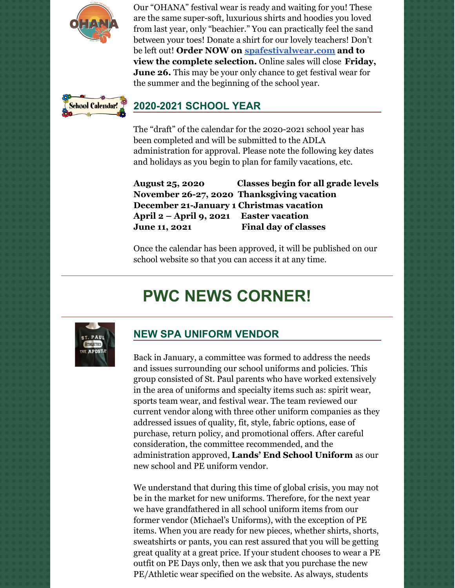

Our "OHANA" festival wear is ready and waiting for you! These are the same super-soft, luxurious shirts and hoodies you loved from last year, only "beachier." You can practically feel the sand between your toes! Donate a shirt for our lovely teachers! Don't be left out! **Order NOW on [spafestivalwear.com](http://spafestivalwear.com/) and to view the complete selection.** Online sales will close **Friday, June 26.** This may be your only chance to get festival wear for the summer and the beginning of the school year.



### **2020-2021 SCHOOL YEAR**

The "draft" of the calendar for the 2020-2021 school year has been completed and will be submitted to the ADLA administration for approval. Please note the following key dates and holidays as you begin to plan for family vacations, etc.

**August 25, 2020 Classes begin for all grade levels November 26-27, 2020 Thanksgiving vacation December 21-January 1 Christmas vacation April 2 – April 9, 2021 Easter vacation June 11, 2021 Final day of classes**

Once the calendar has been approved, it will be published on our school website so that you can access it at any time.

# **PWC NEWS CORNER!**



#### **NEW SPA UNIFORM VENDOR**

Back in January, a committee was formed to address the needs and issues surrounding our school uniforms and policies. This group consisted of St. Paul parents who have worked extensively in the area of uniforms and specialty items such as: spirit wear, sports team wear, and festival wear. The team reviewed our current vendor along with three other uniform companies as they addressed issues of quality, fit, style, fabric options, ease of purchase, return policy, and promotional offers. After careful consideration, the committee recommended, and the administration approved, **Lands' End School Uniform** as our new school and PE uniform vendor.

We understand that during this time of global crisis, you may not be in the market for new uniforms. Therefore, for the next year we have grandfathered in all school uniform items from our former vendor (Michael's Uniforms), with the exception of PE items. When you are ready for new pieces, whether shirts, shorts, sweatshirts or pants, you can rest assured that you will be getting great quality at a great price. If your student chooses to wear a PE outfit on PE Days only, then we ask that you purchase the new PE/Athletic wear specified on the website. As always, students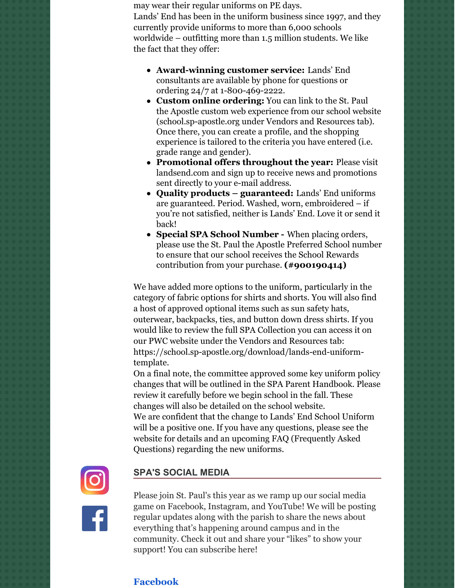may wear their regular uniforms on PE days. Lands' End has been in the uniform business since 1997, and they currently provide uniforms to more than 6,000 schools worldwide – outfitting more than 1.5 million students. We like the fact that they offer:

- **Award-winning customer service:** Lands' End consultants are available by phone for questions or ordering 24/7 at 1-800-469-2222.
- **Custom online ordering:** You can link to the St. Paul the Apostle custom web experience from our school website (school.sp-apostle.org under Vendors and Resources tab). Once there, you can create a profile, and the shopping experience is tailored to the criteria you have entered (i.e. grade range and gender).
- **Promotional offers throughout the year:** Please visit landsend.com and sign up to receive news and promotions sent directly to your e-mail address.
- **Quality products – guaranteed:** Lands' End uniforms are guaranteed. Period. Washed, worn, embroidered – if you're not satisfied, neither is Lands' End. Love it or send it back!
- **Special SPA School Number -** When placing orders, please use the St. Paul the Apostle Preferred School number to ensure that our school receives the School Rewards contribution from your purchase. **(#900190414)**

We have added more options to the uniform, particularly in the category of fabric options for shirts and shorts. You will also find a host of approved optional items such as sun safety hats, outerwear, backpacks, ties, and button down dress shirts. If you would like to review the full SPA Collection you can access it on our PWC website under the Vendors and Resources tab: https://school.sp-apostle.org/download/lands-end-uniformtemplate.

On a final note, the committee approved some key uniform policy changes that will be outlined in the SPA Parent Handbook. Please review it carefully before we begin school in the fall. These changes will also be detailed on the school website. We are confident that the change to Lands' End School Uniform will be a positive one. If you have any questions, please see the website for details and an upcoming FAQ (Frequently Asked Questions) regarding the new uniforms.



#### **SPA'S SOCIAL MEDIA**



Please join St. Paul's this year as we ramp up our social media game on Facebook, Instagram, and YouTube! We will be posting regular updates along with the parish to share the news about everything that's happening around campus and in the community. Check it out and share your "likes" to show your support! You can subscribe here!

#### **[Facebook](https://www.facebook.com/spapostle/)**